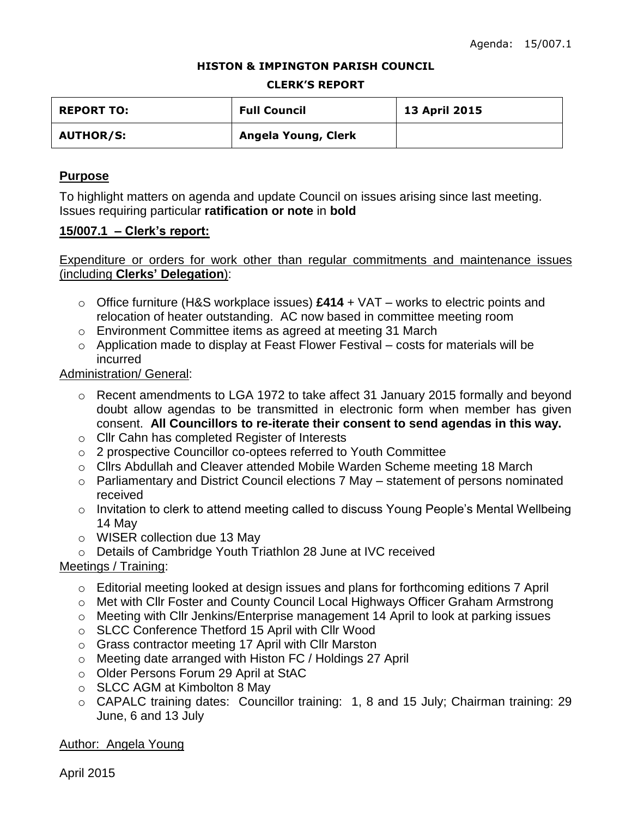#### **HISTON & IMPINGTON PARISH COUNCIL**

#### **CLERK'S REPORT**

| <b>REPORT TO:</b> | <b>Full Council</b> | 13 April 2015 |
|-------------------|---------------------|---------------|
| <b>AUTHOR/S:</b>  | Angela Young, Clerk |               |

## **Purpose**

To highlight matters on agenda and update Council on issues arising since last meeting. Issues requiring particular **ratification or note** in **bold**

### **15/007.1 – Clerk's report:**

# Expenditure or orders for work other than regular commitments and maintenance issues (including **Clerks' Delegation**):

- o Office furniture (H&S workplace issues) **£414** + VAT works to electric points and relocation of heater outstanding. AC now based in committee meeting room
- o Environment Committee items as agreed at meeting 31 March
- o Application made to display at Feast Flower Festival costs for materials will be incurred

## Administration/ General:

- o Recent amendments to LGA 1972 to take affect 31 January 2015 formally and beyond doubt allow agendas to be transmitted in electronic form when member has given consent. **All Councillors to re-iterate their consent to send agendas in this way.**
- o Cllr Cahn has completed Register of Interests
- o 2 prospective Councillor co-optees referred to Youth Committee
- $\circ$  Cllrs Abdullah and Cleaver attended Mobile Warden Scheme meeting 18 March
- o Parliamentary and District Council elections 7 May statement of persons nominated received
- o Invitation to clerk to attend meeting called to discuss Young People's Mental Wellbeing 14 May
- o WISER collection due 13 May
- o Details of Cambridge Youth Triathlon 28 June at IVC received

# Meetings / Training:

- $\circ$  Editorial meeting looked at design issues and plans for forthcoming editions 7 April
- o Met with Cllr Foster and County Council Local Highways Officer Graham Armstrong
- o Meeting with Cllr Jenkins/Enterprise management 14 April to look at parking issues
- o SLCC Conference Thetford 15 April with Cllr Wood
- o Grass contractor meeting 17 April with Cllr Marston
- o Meeting date arranged with Histon FC / Holdings 27 April
- o Older Persons Forum 29 April at StAC
- o SLCC AGM at Kimbolton 8 May
- o CAPALC training dates: Councillor training: 1, 8 and 15 July; Chairman training: 29 June, 6 and 13 July

### Author: Angela Young

April 2015